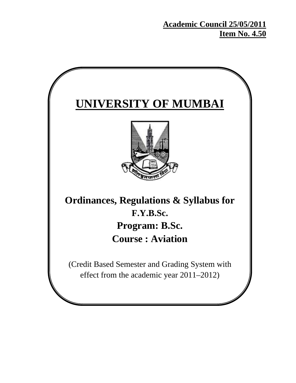**Academic Council 25/05/2011 Item No. 4.50**

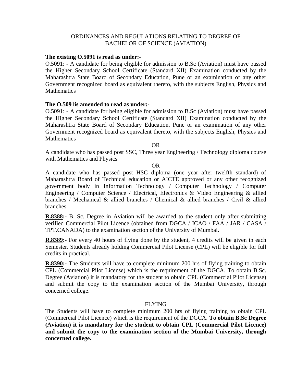### ORDINANCES AND REGULATIONS RELATING TO DEGREE OF BACHELOR OF SCIENCE (AVIATION)

#### **The existing O.5091 is read as under:-**

O.5091: - A candidate for being eligible for admission to B.Sc (Aviation) must have passed the Higher Secondary School Certificate (Standard XII) Examination conducted by the Maharashtra State Board of Secondary Education, Pune or an examination of any other Government recognized board as equivalent thereto, with the subjects English, Physics and **Mathematics** 

#### **The O.5091is amended to read as under:-**

O.5091: - A candidate for being eligible for admission to B.Sc (Aviation) must have passed the Higher Secondary School Certificate (Standard XII) Examination conducted by the Maharashtra State Board of Secondary Education, Pune or an examination of any other Government recognized board as equivalent thereto, with the subjects English, Physics and **Mathematics** 

OR

A candidate who has passed post SSC, Three year Engineering / Technology diploma course with Mathematics and Physics

#### OR

A candidate who has passed post HSC diploma (one year after twelfth standard) of Maharashtra Board of Technical education or AICTE approved or any other recognized government body in Information Technology / Computer Technology / Computer Engineering / Computer Science / Electrical, Electronics & Video Engineering & allied branches / Mechanical & allied branches / Chemical & allied branches / Civil & allied branches.

**R.8388:-** B. Sc. Degree in Aviation will be awarded to the student only after submitting verified Commercial Pilot Licence (obtained from DGCA / ICAO / FAA / JAR / CASA / TPT.CANADA) to the examination section of the University of Mumbai.

**R.8389:-** For every 40 hours of flying done by the student, 4 credits will be given in each Semester. Students already holding Commercial Pilot License (CPL) will be eligible for full credits in practical.

**R.8390:**- The Students will have to complete minimum 200 hrs of flying training to obtain CPL (Commercial Pilot License) which is the requirement of the DGCA. To obtain B.Sc. Degree (Aviation) it is mandatory for the student to obtain CPL (Commercial Pilot License) and submit the copy to the examination section of the Mumbai University, through concerned college.

### FLYING

The Students will have to complete minimum 200 hrs of flying training to obtain CPL (Commercial Pilot Licence) which is the requirement of the DGCA. **To obtain B.Sc Degree (Aviation) it is mandatory for the student to obtain CPL (Commercial Pilot Licence) and submit the copy to the examination section of the Mumbai University, through concerned college.**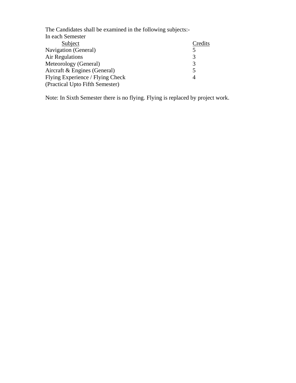| The Candidates shall be examined in the following subjects:- |         |
|--------------------------------------------------------------|---------|
| In each Semester                                             |         |
| Subject                                                      | Credits |
| <b>Navigation</b> (General)                                  | 5       |
| Air Regulations                                              | 3       |
| Meteorology (General)                                        | 3       |
| Aircraft & Engines (General)                                 | 5       |
| Flying Experience / Flying Check                             | 4       |
| (Practical Upto Fifth Semester)                              |         |
|                                                              |         |

Note: In Sixth Semester there is no flying. Flying is replaced by project work.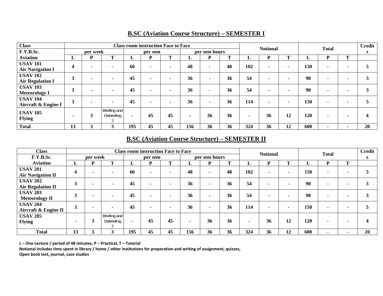| <b>Class</b>                               |    |                |                            |                |         | <b>Class room instruction Face to Face</b> |     |               |    | <b>Notional</b> |    |                          |     | <b>Total</b>   |                | <b>Credit</b> |
|--------------------------------------------|----|----------------|----------------------------|----------------|---------|--------------------------------------------|-----|---------------|----|-----------------|----|--------------------------|-----|----------------|----------------|---------------|
| F.Y.B.Sc.                                  |    | per week       |                            |                | per sem |                                            |     | per sem hours |    |                 |    |                          |     |                |                |               |
| <b>Aviation</b>                            | L. | D              | m                          | L              | D       | m.                                         | ⊷   | D             | T  | L.              | P  | T.                       | L   | D              | m.             |               |
| <b>USAV 101</b><br><b>Air Navigation I</b> | 4  |                |                            | 60             |         |                                            | 48  |               | 48 | 102             | ۰. | $\sim$                   | 150 | $\blacksquare$ |                |               |
| <b>USAV 102</b><br><b>Air Regulation I</b> | 3  | $\blacksquare$ | $\sim$                     | 45             |         |                                            | 36  |               | 36 | 54              | ۰. | $\overline{\phantom{a}}$ | 90  | $\blacksquare$ |                | 3             |
| <b>USAV 103</b><br><b>Meteorology I</b>    | 3  | $\blacksquare$ | -                          | 45             |         |                                            | 36  |               | 36 | 54              | ۰. | $\overline{\phantom{a}}$ | 90  | $\blacksquare$ |                | 3             |
| <b>USAV 104</b><br>Aircraft & Engine I     | 3  | $\blacksquare$ |                            | 45             |         |                                            | 36  |               | 36 | 114             |    | $\sim$                   | 150 | $\blacksquare$ |                |               |
| <b>USAV 105</b><br><b>Flying</b>           |    | 3              | Briefing and<br>Debriefing | $\blacksquare$ | 45      | 45                                         |     | 36            | 36 |                 | 36 | 12                       | 120 | $\blacksquare$ |                |               |
| <b>Total</b>                               | 13 | 3              | 3                          | 195            | 45      | 45                                         | 156 | 36            | 36 | 324             | 36 | 12                       | 600 | $\blacksquare$ | $\blacksquare$ | 20            |

# **B.SC (Aviation Course Structure) – SEMESTER I**

# **B.SC (Aviation Course Structure) – SEMESTER II**

| <b>Class</b>                                | <b>Class room instruction Face to Face</b> |          |                            |     |         |    | <b>Notional</b> |                |    | <b>Total</b> |                | <b>Credit</b>            |     |                |                |    |
|---------------------------------------------|--------------------------------------------|----------|----------------------------|-----|---------|----|-----------------|----------------|----|--------------|----------------|--------------------------|-----|----------------|----------------|----|
| F.Y.B.Sc.                                   |                                            | per week |                            |     | per sem |    |                 | per sem hours  |    |              |                |                          |     |                |                | S  |
| <b>Aviation</b>                             | L.                                         | D        | m                          | L.  | D       | m  | ⊷               | D              | m  | L.           | D              | m                        | ⊥   | D              | m              |    |
| <b>USAV 201</b><br><b>Air Navigation II</b> | 4                                          |          |                            | 60  |         |    | 48              | $\blacksquare$ | 48 | 102          |                | $\overline{\phantom{0}}$ | 150 |                |                |    |
| <b>USAV 202</b><br><b>Air Regulation II</b> | 3                                          |          |                            | 45  |         |    | 36              | $\blacksquare$ | 36 | 54           | $\blacksquare$ |                          | 90  | $\blacksquare$ |                | 3  |
| <b>USAV 203</b><br><b>Meteorology II</b>    | 3                                          |          |                            | 45  |         |    | 36              | $\blacksquare$ | 36 | 54           | $\blacksquare$ | $\blacksquare$           | 90  | $\blacksquare$ |                | 3  |
| <b>USAV 204</b><br>Aircraft & Engine II     | 3                                          |          |                            | 45  |         |    | 36              | $\blacksquare$ | 36 | 114          | $\blacksquare$ | $\blacksquare$           | 150 | $\blacksquare$ |                |    |
| <b>USAV 205</b><br><b>Flying</b>            |                                            |          | Briefing and<br>Debriefing |     | 45      | 45 |                 | 36             | 36 |              | 36             | 12                       | 120 | $\blacksquare$ |                |    |
| <b>Total</b>                                | 13                                         |          |                            | 195 | 45      | 45 | 156             | 36             | 36 | 324          | 36             | 12                       | 600 | $\blacksquare$ | $\blacksquare$ | 20 |

**L – One Lecture / period of 48 minutes, P – Practical, T – Tutorial**

Notional includes time spent in library / home / other institutions for preparation and writing of assignment, quizzes,

**Open book test, journal, case studies**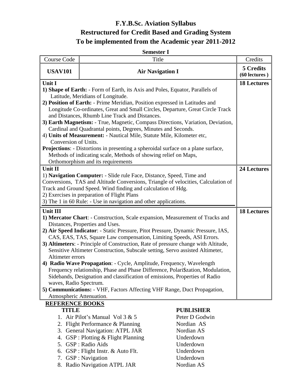# **F.Y.B.Sc. Aviation Syllabus Restructured for Credit Based and Grading System To be implemented from the Academic year 2011-2012**

| <b>Semester I</b>                                                                                                                                                                                                                                                                                                                                                                                                                                                                                                                                                                                                                                                                                                                                                                                                                                                       |                                                                                                                                                                                                         |                                                                                                       |                                 |  |  |  |  |
|-------------------------------------------------------------------------------------------------------------------------------------------------------------------------------------------------------------------------------------------------------------------------------------------------------------------------------------------------------------------------------------------------------------------------------------------------------------------------------------------------------------------------------------------------------------------------------------------------------------------------------------------------------------------------------------------------------------------------------------------------------------------------------------------------------------------------------------------------------------------------|---------------------------------------------------------------------------------------------------------------------------------------------------------------------------------------------------------|-------------------------------------------------------------------------------------------------------|---------------------------------|--|--|--|--|
| <b>Course Code</b>                                                                                                                                                                                                                                                                                                                                                                                                                                                                                                                                                                                                                                                                                                                                                                                                                                                      | Title                                                                                                                                                                                                   |                                                                                                       | Credits                         |  |  |  |  |
| <b>USAV101</b>                                                                                                                                                                                                                                                                                                                                                                                                                                                                                                                                                                                                                                                                                                                                                                                                                                                          | <b>Air Navigation I</b>                                                                                                                                                                                 |                                                                                                       | 5 Credits<br>$(60$ lectures $)$ |  |  |  |  |
| Unit I<br>1) Shape of Earth: - Form of Earth, its Axis and Poles, Equator, Parallels of<br>Latitude, Meridians of Longitude.<br>2) Position of Earth: - Prime Meridian, Position expressed in Latitudes and<br>Longitude Co-ordinates, Great and Small Circles, Departure, Great Circle Track<br>and Distances, Rhumb Line Track and Distances.<br>3) Earth Magnetism: - True, Magnetic, Compass Directions, Variation, Deviation,<br>Cardinal and Quadrantal points, Degrees, Minutes and Seconds.<br>4) Units of Measurement: - Nautical Mile, Statute Mile, Kilometer etc,<br>Conversion of Units.<br><b>Projections:</b> - Distortions in presenting a spheroidal surface on a plane surface,<br>Methods of indicating scale, Methods of showing relief on Maps,                                                                                                    | <b>18 Lectures</b>                                                                                                                                                                                      |                                                                                                       |                                 |  |  |  |  |
| Orthomorphism and its requirements<br>Unit II<br>1) Navigation Computer: - Slide rule Face, Distance, Speed, Time and<br>Conversions, TAS and Altitude Conversions, Triangle of velocities, Calculation of<br>Track and Ground Speed. Wind finding and calculation of Hdg.<br>2) Exercises in preparation of Flight Plans<br>3) The 1 in 60 Rule: - Use in navigation and other applications.                                                                                                                                                                                                                                                                                                                                                                                                                                                                           | <b>24 Lectures</b>                                                                                                                                                                                      |                                                                                                       |                                 |  |  |  |  |
| <b>Unit III</b><br>1) Mercator Chart: - Construction, Scale expansion, Measurement of Tracks and<br>Distances, Properties and Uses.<br>2) Air Speed Indicator: - Static Pressure, Pitot Pressure, Dynamic Pressure, IAS,<br>CAS, EAS, TAS, Square Law compensation, Limiting Speeds, ASI Errors.<br>3) Altimeters: - Principle of Construction, Rate of pressure change with Altitude,<br>Sensitive Altimeter Construction, Subscale setting, Servo assisted Altimeter,<br>Altimeter errors<br>4) Radio Wave Propagation: - Cycle, Amplitude, Frequency, Wavelength<br>Frequency relationship, Phase and Phase Difference, Polari\$zation, Modulation,<br>Sidebands, Designation and classification of emissions, Properties of Radio<br>waves, Radio Spectrum.<br>5) Communications: - VHF, Factors Affecting VHF Range, Duct Propagation,<br>Atmospheric Attenuation. | <b>18 Lectures</b>                                                                                                                                                                                      |                                                                                                       |                                 |  |  |  |  |
| <b>REFERENCE BOOKS</b><br><b>TITLE</b><br>4.                                                                                                                                                                                                                                                                                                                                                                                                                                                                                                                                                                                                                                                                                                                                                                                                                            | 1. Air Pilot's Manual Vol 3 & 5<br>2. Flight Performance & Planning<br>3. General Navigation: ATPL JAR<br>GSP : Plotting & Flight Planning<br>5. GSP : Radio Aids<br>6. GSP : Flight Instr. & Auto Flt. | <b>PUBLISHER</b><br>Peter D Godwin<br>Nordian AS<br>Nordian AS<br>Underdown<br>Underdown<br>Underdown |                                 |  |  |  |  |

- 7. GSP : Navigation Underdown
- 8. Radio Navigation ATPL JAR Nordian AS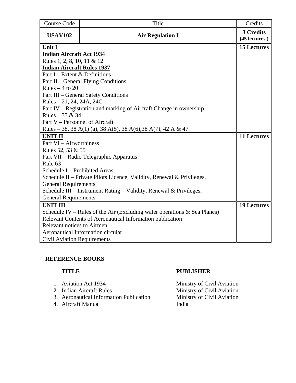| Course Code                                                                 | Title                                                                 | Credits                    |  |  |  |  |
|-----------------------------------------------------------------------------|-----------------------------------------------------------------------|----------------------------|--|--|--|--|
| <b>USAV102</b>                                                              | <b>Air Regulation I</b>                                               | 3 Credits<br>(45 lectures) |  |  |  |  |
| Unit I                                                                      | <b>15 Lectures</b>                                                    |                            |  |  |  |  |
| <b>Indian Aircraft Act 1934</b>                                             |                                                                       |                            |  |  |  |  |
| Rules 1, 2, 8, 10, 11 & 12                                                  |                                                                       |                            |  |  |  |  |
| <b>Indian Aircraft Rules 1937</b>                                           |                                                                       |                            |  |  |  |  |
| Part I – Extent & Definitions                                               |                                                                       |                            |  |  |  |  |
|                                                                             | Part II – General Flying Conditions                                   |                            |  |  |  |  |
| Rules $-4$ to 20                                                            |                                                                       |                            |  |  |  |  |
|                                                                             | Part III - General Safety Conditions                                  |                            |  |  |  |  |
| Rules $-21$ , 24, 24A, 24C                                                  |                                                                       |                            |  |  |  |  |
|                                                                             | Part IV – Registration and marking of Aircraft Change in ownership    |                            |  |  |  |  |
| Rules – 33 & 34                                                             |                                                                       |                            |  |  |  |  |
| Part V – Personnel of Aircraft                                              |                                                                       |                            |  |  |  |  |
|                                                                             | Rules – 38, 38 A(1) (a), 38 A(5), 38 A(6), 38 A(7), 42 A & 47.        |                            |  |  |  |  |
| <b>UNIT II</b>                                                              |                                                                       | <b>11 Lectures</b>         |  |  |  |  |
| Part VI - Airworthiness                                                     |                                                                       |                            |  |  |  |  |
| Rules 52, 53 & 55                                                           |                                                                       |                            |  |  |  |  |
|                                                                             | Part VII – Radio Telegraphic Apparatus                                |                            |  |  |  |  |
| Rule <sub>63</sub>                                                          |                                                                       |                            |  |  |  |  |
| Schedule I - Prohibited Areas                                               |                                                                       |                            |  |  |  |  |
|                                                                             | Schedule II – Private Pilots Licence, Validity, Renewal & Privileges, |                            |  |  |  |  |
| <b>General Requirements</b>                                                 |                                                                       |                            |  |  |  |  |
| Schedule III - Instrument Rating - Validity, Renewal & Privileges,          |                                                                       |                            |  |  |  |  |
| <b>General Requirements</b>                                                 |                                                                       |                            |  |  |  |  |
| <b>UNIT III</b>                                                             |                                                                       | <b>19 Lectures</b>         |  |  |  |  |
| Schedule IV – Rules of the Air (Excluding water operations $\&$ Sea Planes) |                                                                       |                            |  |  |  |  |
| Relevant Contents of Aeronautical Information publication                   |                                                                       |                            |  |  |  |  |
| <b>Relevant notices to Airmen</b>                                           |                                                                       |                            |  |  |  |  |
|                                                                             | <b>Aeronautical Information circular</b>                              |                            |  |  |  |  |
| <b>Civil Aviation Requirements</b>                                          |                                                                       |                            |  |  |  |  |

- 
- 
- 
- 4. Aircraft Manual

# **TITLE PUBLISHER**

1. Aviation Act 1934 Ministry of Civil Aviation 2. Indian Aircraft Rules Ministry of Civil Aviation 3. Aeronautical Information Publication Ministry of Civil Aviation<br>4. Aircraft Manual India India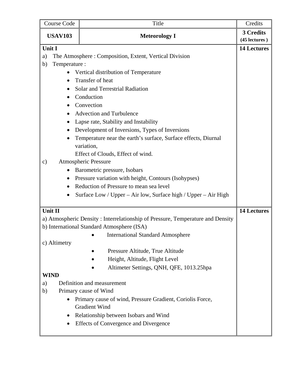| Course Code         | Title                                                                             | Credits            |
|---------------------|-----------------------------------------------------------------------------------|--------------------|
| <b>USAV103</b>      | <b>Meteorology I</b>                                                              | 3 Credits          |
|                     |                                                                                   | (45 lectures)      |
| Unit I              | <b>14 Lectures</b>                                                                |                    |
| a)                  | The Atmosphere: Composition, Extent, Vertical Division                            |                    |
| Temperature :<br>b) |                                                                                   |                    |
|                     | Vertical distribution of Temperature                                              |                    |
| $\bullet$           | Transfer of heat                                                                  |                    |
|                     | Solar and Terrestrial Radiation                                                   |                    |
|                     | Conduction                                                                        |                    |
| $\bullet$           | Convection                                                                        |                    |
| $\bullet$           | Advection and Turbulence                                                          |                    |
| $\bullet$           | Lapse rate, Stability and Instability                                             |                    |
| $\bullet$           | Development of Inversions, Types of Inversions                                    |                    |
|                     | Temperature near the earth's surface, Surface effects, Diurnal<br>variation,      |                    |
|                     | Effect of Clouds, Effect of wind.                                                 |                    |
| c)                  | <b>Atmospheric Pressure</b>                                                       |                    |
|                     | Barometric pressure, Isobars                                                      |                    |
|                     | Pressure variation with height, Contours (Isohypses)                              |                    |
| $\bullet$           | Reduction of Pressure to mean sea level                                           |                    |
| $\bullet$           | Surface Low / Upper – Air low, Surface high / Upper – Air High                    |                    |
|                     |                                                                                   |                    |
| Unit II             |                                                                                   | <b>14 Lectures</b> |
|                     | a) Atmospheric Density: Interrelationship of Pressure, Temperature and Density    |                    |
|                     | b) International Standard Atmosphere (ISA)                                        |                    |
|                     | • International Standard Atmosphere                                               |                    |
| c) Altimetry        |                                                                                   |                    |
|                     | Pressure Altitude, True Altitude                                                  |                    |
|                     | Height, Altitude, Flight Level                                                    |                    |
|                     | Altimeter Settings, QNH, QFE, 1013.25hpa                                          |                    |
| <b>WIND</b>         |                                                                                   |                    |
| a)                  | Definition and measurement                                                        |                    |
| b)                  | Primary cause of Wind                                                             |                    |
|                     | Primary cause of wind, Pressure Gradient, Coriolis Force,<br><b>Gradient Wind</b> |                    |
|                     | Relationship between Isobars and Wind                                             |                    |
|                     | <b>Effects of Convergence and Divergence</b>                                      |                    |
|                     |                                                                                   |                    |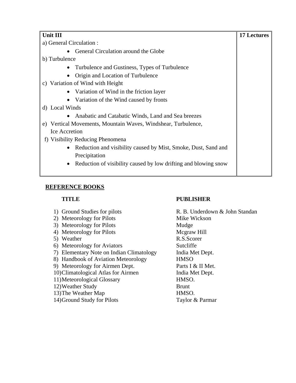| <b>Unit III</b>                                                              | <b>17 Lectures</b> |
|------------------------------------------------------------------------------|--------------------|
| a) General Circulation :                                                     |                    |
| General Circulation around the Globe                                         |                    |
| b) Turbulence                                                                |                    |
| Turbulence and Gustiness, Types of Turbulence<br>$\bullet$                   |                    |
| Origin and Location of Turbulence                                            |                    |
| c) Variation of Wind with Height                                             |                    |
| • Variation of Wind in the friction layer                                    |                    |
| Variation of the Wind caused by fronts<br>$\bullet$                          |                    |
| d) Local Winds                                                               |                    |
| Anabatic and Catabatic Winds, Land and Sea breezes<br>$\bullet$              |                    |
| e) Vertical Movements, Mountain Waves, Windshear, Turbulence,                |                    |
| Ice Accretion                                                                |                    |
| f) Visibility Reducing Phenomena                                             |                    |
| Reduction and visibility caused by Mist, Smoke, Dust, Sand and<br>$\bullet$  |                    |
| Precipitation                                                                |                    |
| Reduction of visibility caused by low drifting and blowing snow<br>$\bullet$ |                    |
|                                                                              |                    |

- 
- 2) Meteorology for Pilots Mike Wickson
- 3) Meteorology for Pilots Mudge
- 4) Meteorology for Pilots Mcgraw Hill
- 
- 6) Meteorology for Aviators Sutcliffe
- 7) Elementary Note on Indian Climatology India Met Dept.
- 8) Handbook of Aviation Meteorology HMSO
- 9) Meteorology for Airmen Dept. Parts I & II Met.
- 10)Climatological Atlas for Airmen India Met Dept.
- 11)Meteorological Glossary HMSO.
- 12)Weather Study Brunt
- 13)The Weather Map HMSO.
- 14)Ground Study for Pilots Taylor & Parmar

# **TITLE PUBLISHER**

1) Ground Studies for pilots R. B. Underdown & John Standan 5) Weather R.S.Scorer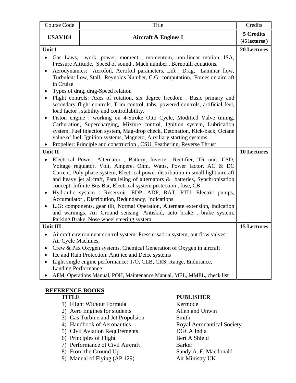| Course Code                                                                                                                                                                                                                                                                                                                                                                                                                                                                                                                                                                                                                                                                                                                                                                                                                                                                                                                                                              | Title                                                                                                                                                                                                                                                                                                                                                                                                                                                                                                                                                                                                                                                                                                                          | Credits                    |  |  |  |
|--------------------------------------------------------------------------------------------------------------------------------------------------------------------------------------------------------------------------------------------------------------------------------------------------------------------------------------------------------------------------------------------------------------------------------------------------------------------------------------------------------------------------------------------------------------------------------------------------------------------------------------------------------------------------------------------------------------------------------------------------------------------------------------------------------------------------------------------------------------------------------------------------------------------------------------------------------------------------|--------------------------------------------------------------------------------------------------------------------------------------------------------------------------------------------------------------------------------------------------------------------------------------------------------------------------------------------------------------------------------------------------------------------------------------------------------------------------------------------------------------------------------------------------------------------------------------------------------------------------------------------------------------------------------------------------------------------------------|----------------------------|--|--|--|
| <b>USAV104</b>                                                                                                                                                                                                                                                                                                                                                                                                                                                                                                                                                                                                                                                                                                                                                                                                                                                                                                                                                           | <b>Aircraft &amp; Engines I</b>                                                                                                                                                                                                                                                                                                                                                                                                                                                                                                                                                                                                                                                                                                | 5 Credits<br>(45 lectures) |  |  |  |
| Unit I<br>Gas Laws, work, power, moment, momentum, non-linear motion, ISA,<br>Pressure Altitude, Speed of sound, Mach number, Bernoulli equations.<br>Aerodynamics: Aerofoil, Aerofoil parameters, Lift, Drag, Laminar flow,<br>Turbulent flow, Stall, Reynolds Number, C.G- computation, Forces on aircraft<br>in Cruise<br>Types of drag, drag-Speed relation<br>Flight controls: Axes of rotation, six degree freedom, Basic primary and<br>secondary flight controls, Trim control, tabs, powered controls, artificial feel,<br>load factor, stability and controllability,<br>Piston engine : working on 4-Stroke Otto Cycle, Modified Valve timing,<br>Carburation, Supercharging, Mixture control, Ignition system, Lubrication<br>system, Fuel injection system, Mag-drop check, Detonation, Kick-back, Octane<br>value of fuel, Ignition systems, Magneto, Auxiliary starting systems<br>Propeller: Principle and construction, CSU, Feathering, Reverse Thrust |                                                                                                                                                                                                                                                                                                                                                                                                                                                                                                                                                                                                                                                                                                                                |                            |  |  |  |
| Unit II                                                                                                                                                                                                                                                                                                                                                                                                                                                                                                                                                                                                                                                                                                                                                                                                                                                                                                                                                                  |                                                                                                                                                                                                                                                                                                                                                                                                                                                                                                                                                                                                                                                                                                                                |                            |  |  |  |
|                                                                                                                                                                                                                                                                                                                                                                                                                                                                                                                                                                                                                                                                                                                                                                                                                                                                                                                                                                          | Electrical Power: Alternator, Battery, Inverter, Rectifier, TR unit, CSD,<br>Voltage regulator, Volt, Ampere, Ohm, Watts, Power factor, AC & DC<br>Current, Poly phase system, Electrical power distribution in small light aircraft<br>and heavy jet aircraft, Paralleling of alternators & batteries, Synchronisation<br>concept, Infinite Bus Bar, Electrical system protection, fuse, CB<br>Hydraulic system : Reservoir, EDP, ADP, RAT, PTU, Electric pumps,<br>Accumulator, Distribution, Redundancy, Indications<br>L.G: components, gear tilt, Normal Operation, Alternate extension, indication<br>and warnings, Air Ground sensing, Antiskid, auto brake, brake system,<br>Parking Brake, Nose wheel steering system |                            |  |  |  |
| <b>Unit III</b>                                                                                                                                                                                                                                                                                                                                                                                                                                                                                                                                                                                                                                                                                                                                                                                                                                                                                                                                                          |                                                                                                                                                                                                                                                                                                                                                                                                                                                                                                                                                                                                                                                                                                                                | <b>15 Lectures</b>         |  |  |  |
| Air Cycle Machines,<br><b>Landing Performance</b>                                                                                                                                                                                                                                                                                                                                                                                                                                                                                                                                                                                                                                                                                                                                                                                                                                                                                                                        | Aircraft environment control system: Pressurisation system, out flow valves,<br>Crew & Pax Oxygen systems, Chemical Generation of Oxygen in aircraft<br>Ice and Rain Protection: Anti ice and Deice systems<br>Light single engine performance: T/O, CLB, CRS, Range, Endurance,<br>AFM, Operations Manual, POH, Maintenance Manual, MEL, MMEL, check list                                                                                                                                                                                                                                                                                                                                                                     |                            |  |  |  |

- 1) Flight Without Formula Kermode
- 2) Aero Engines for students Allen and Unwin
- 3) Gas Turbine and Jet Propulsion Smith
- 
- 5) Civil Aviation Requirements DGCA India
- 6) Principles of Flight Bert A Shield
- 7) Performance of Civil Aircraft Barker
- 
- 9) Manual of Flying (AP 129) Air Ministry UK

# **TITLE PUBLISHER**

4) Handbook of Aeronautics Royal Aeronautical Society 8) From the Ground Up Sandy A. F. Macdonald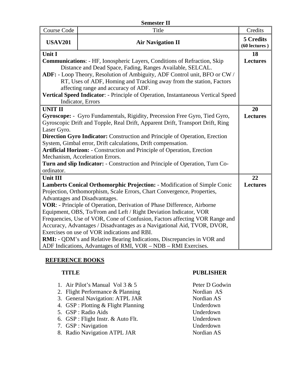| <b>Semester II</b>                                                          |                                                                                  |                              |  |  |  |  |
|-----------------------------------------------------------------------------|----------------------------------------------------------------------------------|------------------------------|--|--|--|--|
| Course Code                                                                 | Title                                                                            | Credits                      |  |  |  |  |
| <b>USAV201</b>                                                              | <b>Air Navigation II</b>                                                         | 5 Credits<br>$(60$ lectures) |  |  |  |  |
| Unit I                                                                      |                                                                                  | 18                           |  |  |  |  |
|                                                                             | <b>Communications: - HF, Ionospheric Layers, Conditions of Refraction, Skip</b>  | <b>Lectures</b>              |  |  |  |  |
|                                                                             | Distance and Dead Space, Fading, Ranges Available, SELCAL.                       |                              |  |  |  |  |
|                                                                             | ADF: - Loop Theory, Resolution of Ambiguity, ADF Control unit, BFO or CW /       |                              |  |  |  |  |
|                                                                             | RT, Uses of ADF, Homing and Tracking away from the station, Factors              |                              |  |  |  |  |
|                                                                             | affecting range and accuracy of ADF.                                             |                              |  |  |  |  |
|                                                                             | Vertical Speed Indicator: - Principle of Operation, Instantaneous Vertical Speed |                              |  |  |  |  |
|                                                                             | Indicator, Errors                                                                |                              |  |  |  |  |
| <b>UNIT II</b>                                                              |                                                                                  | 20                           |  |  |  |  |
|                                                                             | Gyroscope: - Gyro Fundamentals, Rigidity, Precession Free Gyro, Tied Gyro,       | <b>Lectures</b>              |  |  |  |  |
|                                                                             | Gyroscopic Drift and Topple, Real Drift, Apparent Drift, Transport Drift, Ring   |                              |  |  |  |  |
| Laser Gyro.                                                                 |                                                                                  |                              |  |  |  |  |
|                                                                             | Direction Gyro Indicator: Construction and Principle of Operation, Erection      |                              |  |  |  |  |
|                                                                             | System, Gimbal error, Drift calculations, Drift compensation.                    |                              |  |  |  |  |
|                                                                             | Artificial Horizon: - Construction and Principle of Operation, Erection          |                              |  |  |  |  |
|                                                                             | Mechanism, Acceleration Errors.                                                  |                              |  |  |  |  |
|                                                                             | Turn and slip Indicator: - Construction and Principle of Operation, Turn Co-     |                              |  |  |  |  |
| ordinator.                                                                  |                                                                                  |                              |  |  |  |  |
| <b>Unit III</b>                                                             |                                                                                  | 22                           |  |  |  |  |
|                                                                             | Lamberts Conical Orthomorphic Projection: - Modification of Simple Conic         | <b>Lectures</b>              |  |  |  |  |
|                                                                             | Projection, Orthomorphism, Scale Errors, Chart Convergence, Properties,          |                              |  |  |  |  |
| Advantages and Disadvantages.                                               |                                                                                  |                              |  |  |  |  |
| VOR: - Principle of Operation, Derivation of Phase Difference, Airborne     |                                                                                  |                              |  |  |  |  |
| Equipment, OBS, To/From and Left / Right Deviation Indicator, VOR           |                                                                                  |                              |  |  |  |  |
| Frequencies, Use of VOR, Cone of Confusion, Factors affecting VOR Range and |                                                                                  |                              |  |  |  |  |
| Accuracy, Advantages / Disadvantages as a Navigational Aid, TVOR, DVOR,     |                                                                                  |                              |  |  |  |  |
|                                                                             | Exercises on use of VOR indications and RBI.                                     |                              |  |  |  |  |
|                                                                             | <b>RMI:</b> - QDM's and Relative Bearing Indications, Discrepancies in VOR and   |                              |  |  |  |  |
|                                                                             | ADF Indications, Advantages of RMI, VOR – NDB – RMI Exercises.                   |                              |  |  |  |  |

- 1. Air Pilot's Manual Vol 3 & 5 Peter D Godwin
- 2. Flight Performance & Planning Nordian AS
- 3. General Navigation: ATPL JAR Nordian AS
- 4. GSP : Plotting & Flight Planning Underdown
- 5. GSP : Radio Aids Underdown
- 6. GSP : Flight Instr. & Auto Flt. Underdown
- 7. GSP : Navigation Underdown
- 8. Radio Navigation ATPL JAR Nordian AS

# **TITLE PUBLISHER**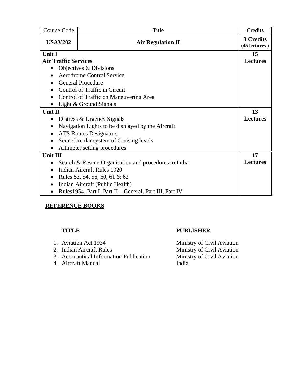| <b>Course Code</b>          | Title                                                    | Credits                    |  |  |  |  |  |  |
|-----------------------------|----------------------------------------------------------|----------------------------|--|--|--|--|--|--|
| <b>USAV202</b>              | <b>Air Regulation II</b>                                 | 3 Credits<br>(45 lectures) |  |  |  |  |  |  |
| Unit I                      |                                                          |                            |  |  |  |  |  |  |
| <b>Air Traffic Services</b> |                                                          | <b>Lectures</b>            |  |  |  |  |  |  |
|                             | Objectives & Divisions                                   |                            |  |  |  |  |  |  |
|                             | <b>Aerodrome Control Service</b>                         |                            |  |  |  |  |  |  |
|                             | <b>General Procedure</b>                                 |                            |  |  |  |  |  |  |
|                             | Control of Traffic in Circuit                            |                            |  |  |  |  |  |  |
|                             | Control of Traffic on Maneuvering Area                   |                            |  |  |  |  |  |  |
|                             | Light & Ground Signals                                   |                            |  |  |  |  |  |  |
| Unit II                     |                                                          | 13                         |  |  |  |  |  |  |
| $\bullet$                   | Distress & Urgency Signals                               | <b>Lectures</b>            |  |  |  |  |  |  |
|                             | Navigation Lights to be displayed by the Aircraft        |                            |  |  |  |  |  |  |
| $\bullet$                   | <b>ATS Routes Designators</b>                            |                            |  |  |  |  |  |  |
|                             | Semi Circular system of Cruising levels                  |                            |  |  |  |  |  |  |
|                             | Altimeter setting procedures                             |                            |  |  |  |  |  |  |
| <b>Unit III</b>             |                                                          | 17                         |  |  |  |  |  |  |
|                             | Search & Rescue Organisation and procedures in India     | <b>Lectures</b>            |  |  |  |  |  |  |
| $\bullet$                   | <b>Indian Aircraft Rules 1920</b>                        |                            |  |  |  |  |  |  |
|                             | Rules 53, 54, 56, 60, 61 & 62                            |                            |  |  |  |  |  |  |
|                             | Indian Aircraft (Public Health)                          |                            |  |  |  |  |  |  |
|                             | Rules 1954, Part I, Part II - General, Part III, Part IV |                            |  |  |  |  |  |  |

## **TITLE PUBLISHER**

| 1. Aviation Act 1934                    | Ministry of Civil Aviation |
|-----------------------------------------|----------------------------|
| 2. Indian Aircraft Rules                | Ministry of Civil Aviation |
| 3. Aeronautical Information Publication | Ministry of Civil Aviation |
| 4. Aircraft Manual                      | India                      |
|                                         |                            |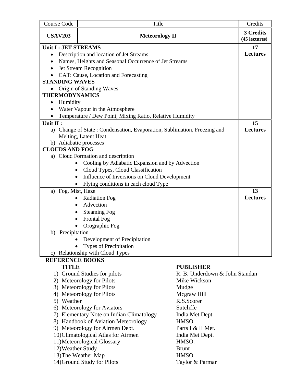| Course Code                                               | Title                                                                 |                                | Credits                    |  |  |  |  |
|-----------------------------------------------------------|-----------------------------------------------------------------------|--------------------------------|----------------------------|--|--|--|--|
| <b>USAV203</b>                                            | <b>Meteorology II</b>                                                 |                                | 3 Credits<br>(45 lectures) |  |  |  |  |
|                                                           | Unit I : JET STREAMS                                                  |                                |                            |  |  |  |  |
| $\bullet$                                                 | Description and location of Jet Streams                               |                                | <b>Lectures</b>            |  |  |  |  |
| $\bullet$                                                 | Names, Heights and Seasonal Occurrence of Jet Streams                 |                                |                            |  |  |  |  |
|                                                           | Jet Stream Recognition                                                |                                |                            |  |  |  |  |
|                                                           | CAT: Cause, Location and Forecasting                                  |                                |                            |  |  |  |  |
| <b>STANDING WAVES</b>                                     |                                                                       |                                |                            |  |  |  |  |
|                                                           | Origin of Standing Waves                                              |                                |                            |  |  |  |  |
| <b>THERMODYNAMICS</b>                                     |                                                                       |                                |                            |  |  |  |  |
| Humidity<br>$\bullet$                                     |                                                                       |                                |                            |  |  |  |  |
|                                                           | Water Vapour in the Atmosphere                                        |                                |                            |  |  |  |  |
|                                                           | Temperature / Dew Point, Mixing Ratio, Relative Humidity              |                                |                            |  |  |  |  |
| Unit II :                                                 |                                                                       |                                | 15                         |  |  |  |  |
| a)                                                        | Change of State: Condensation, Evaporation, Sublimation, Freezing and |                                | <b>Lectures</b>            |  |  |  |  |
|                                                           | Melting, Latent Heat                                                  |                                |                            |  |  |  |  |
|                                                           | b) Adiabatic processes                                                |                                |                            |  |  |  |  |
| <b>CLOUDS AND FOG</b>                                     |                                                                       |                                |                            |  |  |  |  |
|                                                           | a) Cloud Formation and description                                    |                                |                            |  |  |  |  |
|                                                           | Cooling by Adiabatic Expansion and by Advection                       |                                |                            |  |  |  |  |
| $\bullet$                                                 | Cloud Types, Cloud Classification                                     |                                |                            |  |  |  |  |
| Influence of Inversions on Cloud Development<br>$\bullet$ |                                                                       |                                |                            |  |  |  |  |
| Flying conditions in each cloud Type                      |                                                                       |                                |                            |  |  |  |  |
| a) Fog, Mist, Haze                                        |                                                                       |                                |                            |  |  |  |  |
| <b>Radiation Fog</b>                                      |                                                                       |                                |                            |  |  |  |  |
|                                                           | Advection<br>$\bullet$                                                |                                |                            |  |  |  |  |
| $\bullet$                                                 | <b>Steaming Fog</b>                                                   |                                |                            |  |  |  |  |
|                                                           | <b>Frontal Fog</b>                                                    |                                |                            |  |  |  |  |
|                                                           | Orographic Fog                                                        |                                |                            |  |  |  |  |
| b) Precipitation                                          |                                                                       |                                |                            |  |  |  |  |
|                                                           | Development of Precipitation                                          |                                |                            |  |  |  |  |
|                                                           | <b>Types of Precipitation</b>                                         |                                |                            |  |  |  |  |
|                                                           | c) Relationship with Cloud Types                                      |                                |                            |  |  |  |  |
| <b>REFERENCE BOOKS</b>                                    |                                                                       |                                |                            |  |  |  |  |
| <b>TITLE</b>                                              |                                                                       | <b>PUBLISHER</b>               |                            |  |  |  |  |
|                                                           | 1) Ground Studies for pilots                                          | R. B. Underdown & John Standan |                            |  |  |  |  |
|                                                           | 2) Meteorology for Pilots                                             | Mike Wickson                   |                            |  |  |  |  |
|                                                           | 3) Meteorology for Pilots                                             | Mudge                          |                            |  |  |  |  |
|                                                           | 4) Meteorology for Pilots                                             | Mcgraw Hill                    |                            |  |  |  |  |
|                                                           | R.S.Scorer<br>5) Weather                                              |                                |                            |  |  |  |  |
| 6) Meteorology for Aviators                               |                                                                       |                                |                            |  |  |  |  |
| 7) Elementary Note on Indian Climatology                  |                                                                       |                                |                            |  |  |  |  |
| 8) Handbook of Aviation Meteorology<br><b>HMSO</b>        |                                                                       |                                |                            |  |  |  |  |
| 9) Meteorology for Airmen Dept.<br>Parts I & II Met.      |                                                                       |                                |                            |  |  |  |  |
|                                                           | 10) Climatological Atlas for Airmen                                   | India Met Dept.                |                            |  |  |  |  |
|                                                           | 11) Meteorological Glossary                                           | HMSO.                          |                            |  |  |  |  |
| 12) Weather Study                                         |                                                                       | <b>Brunt</b>                   |                            |  |  |  |  |
|                                                           | 13) The Weather Map                                                   | HMSO.                          |                            |  |  |  |  |
|                                                           | 14) Ground Study for Pilots                                           | Taylor & Parmar                |                            |  |  |  |  |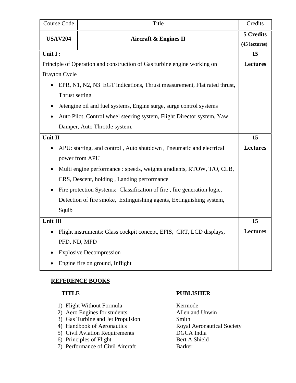| Course Code          | Title                                                                    | Credits         |  |  |  |  |  |
|----------------------|--------------------------------------------------------------------------|-----------------|--|--|--|--|--|
| <b>USAV204</b>       | <b>Aircraft &amp; Engines II</b>                                         | 5 Credits       |  |  |  |  |  |
|                      |                                                                          | (45 lectures)   |  |  |  |  |  |
| Unit I:              |                                                                          |                 |  |  |  |  |  |
|                      | Principle of Operation and construction of Gas turbine engine working on | <b>Lectures</b> |  |  |  |  |  |
| <b>Brayton Cycle</b> |                                                                          |                 |  |  |  |  |  |
|                      | EPR, N1, N2, N3 EGT indications, Thrust measurement, Flat rated thrust,  |                 |  |  |  |  |  |
| Thrust setting       |                                                                          |                 |  |  |  |  |  |
|                      | Jetengine oil and fuel systems, Engine surge, surge control systems      |                 |  |  |  |  |  |
|                      | Auto Pilot, Control wheel steering system, Flight Director system, Yaw   |                 |  |  |  |  |  |
|                      | Damper, Auto Throttle system.                                            |                 |  |  |  |  |  |
| Unit II              |                                                                          | 15              |  |  |  |  |  |
|                      | APU: starting, and control, Auto shutdown, Pneumatic and electrical      | <b>Lectures</b> |  |  |  |  |  |
|                      | power from APU                                                           |                 |  |  |  |  |  |
|                      | Multi engine performance : speeds, weights gradients, RTOW, T/O, CLB,    |                 |  |  |  |  |  |
|                      | CRS, Descent, holding, Landing performance                               |                 |  |  |  |  |  |
|                      | Fire protection Systems: Classification of fire, fire generation logic,  |                 |  |  |  |  |  |
|                      | Detection of fire smoke, Extinguishing agents, Extinguishing system,     |                 |  |  |  |  |  |
| Squib                |                                                                          |                 |  |  |  |  |  |
| Unit III             |                                                                          | 15              |  |  |  |  |  |
|                      | Flight instruments: Glass cockpit concept, EFIS, CRT, LCD displays,      | <b>Lectures</b> |  |  |  |  |  |
|                      | PFD, ND, MFD                                                             |                 |  |  |  |  |  |
|                      | <b>Explosive Decompression</b>                                           |                 |  |  |  |  |  |
|                      | Engine fire on ground, Inflight                                          |                 |  |  |  |  |  |

| 1) Flight Without Formula                                                                                                                                          |
|--------------------------------------------------------------------------------------------------------------------------------------------------------------------|
| 2) Aero Engines for students                                                                                                                                       |
| 3) Gas Turbine and Jet Propulsion                                                                                                                                  |
| $\sqrt{11}$ $\sqrt{11}$ $\sqrt{11}$ $\sqrt{11}$<br>the contract of the contract of the contract of the contract of the contract of the contract of the contract of |

- 4) Handbook of Aeronautics
- 
- 6) Principles of Flight
- 7) Performance of Civil Aircraft Barker

### **TITLE PUBLISHER**

Kermode Allen and Unwin 3) Smith<br>3) Gas Turbine and Society<br>3) Gas Turbine and Society 5) Civil Aviation Requirements<br>
6) Principles of Flight<br>
Bert A Shield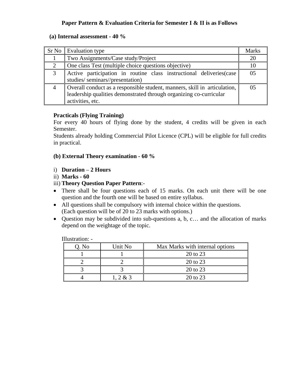## **Paper Pattern & Evaluation Criteria for Semester I & II is as Follows**

#### **(a) Internal assessment - 40 %**

|   | Sr No Evaluation type                                                                                                                                               | <b>Marks</b> |  |  |  |  |  |
|---|---------------------------------------------------------------------------------------------------------------------------------------------------------------------|--------------|--|--|--|--|--|
|   | Two Assignments/Case study/Project                                                                                                                                  |              |  |  |  |  |  |
| 2 | One class Test (multiple choice questions objective)                                                                                                                |              |  |  |  |  |  |
| 3 | Active participation in routine class instructional deliveries (case<br>studies/seminars//presentation)                                                             | 05           |  |  |  |  |  |
|   | Overall conduct as a responsible student, manners, skill in articulation,<br>leadership qualities demonstrated through organizing co-curricular<br>activities, etc. | 05           |  |  |  |  |  |

#### **Practicals (Flying Training)**

For every 40 hours of flying done by the student, 4 credits will be given in each Semester.

Students already holding Commercial Pilot Licence (CPL) will be eligible for full credits in practical.

### **(b) External Theory examination - 60 %**

### i) **Duration** – **2 Hours**

ii) **Marks - 60**

### iii) **Theory Question Paper Pattern**:-

- There shall be four questions each of 15 marks. On each unit there will be one question and the fourth one will be based on entire syllabus.
- All questions shall be compulsory with internal choice within the questions. (Each question will be of 20 to 23 marks with options.)
- Question may be subdivided into sub-questions a, b, c… and the allocation of marks depend on the weightage of the topic.

| .     |         |                                 |
|-------|---------|---------------------------------|
| Q. No | Unit No | Max Marks with internal options |
|       |         | 20 to 23                        |
|       |         | 20 to 23                        |
|       |         | 20 to 23                        |
|       | .2 & 3  | 20 to 23                        |

Illustration: -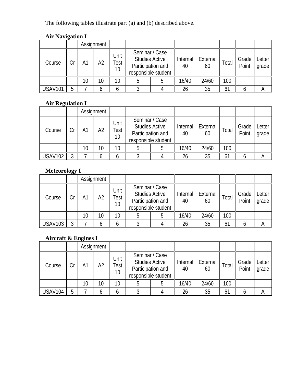The following tables illustrate part (a) and (b) described above.

# **Air Navigation I**

|                |    |    | Assignment |                    |                                                                                     |  |                |                |       |                |                 |
|----------------|----|----|------------|--------------------|-------------------------------------------------------------------------------------|--|----------------|----------------|-------|----------------|-----------------|
| Course         | Cr | Α1 | A2         | Unit<br>Test<br>10 | Seminar / Case<br><b>Studies Active</b><br>Participation and<br>responsible student |  | Internal<br>40 | External<br>60 | Total | Grade<br>Point | Letter<br>grade |
|                |    | 10 | 10         | 10                 |                                                                                     |  | 16/40          | 24/60          | 100   |                |                 |
| <b>USAV101</b> | 5  |    |            |                    |                                                                                     |  | 26             | 35             | 61    |                | A               |

# **Air Regulation I**

|                |    |                | Assignment      |                    |                                                                                     |  |                |                |       |                |                 |
|----------------|----|----------------|-----------------|--------------------|-------------------------------------------------------------------------------------|--|----------------|----------------|-------|----------------|-----------------|
| Course         | Cr | A <sub>1</sub> | A2              | Unit<br>Test<br>10 | Seminar / Case<br><b>Studies Active</b><br>Participation and<br>responsible student |  | Internal<br>40 | External<br>60 | Total | Grade<br>Point | Letter<br>grade |
|                |    | 10             | 10 <sup>°</sup> | 10 <sup>°</sup>    |                                                                                     |  | 16/40          | 24/60          | 100   |                |                 |
| <b>USAV102</b> | ς  |                |                 |                    |                                                                                     |  | 26             | 35             | 61    |                |                 |

# **Meteorology I**

|                |    |                | Assignment |                                                  |                                                                                     |  |                |                    |       |                |                 |
|----------------|----|----------------|------------|--------------------------------------------------|-------------------------------------------------------------------------------------|--|----------------|--------------------|-------|----------------|-----------------|
| Course         | Cr | A <sub>1</sub> | A2         | Unit<br>$\tau_{\mathsf{est}}$<br>10 <sup>°</sup> | Seminar / Case<br><b>Studies Active</b><br>Participation and<br>responsible student |  | Internal<br>40 | .   External<br>60 | Total | Grade<br>Point | Letter<br>grade |
|                |    | 10             | 10         | 10                                               |                                                                                     |  | 16/40          | 24/60              | 100   |                |                 |
| <b>USAV103</b> | C  |                |            |                                                  |                                                                                     |  | 26             | 35                 | 61    |                |                 |

# **Aircraft & Engines I**

|                |    |                 | Assignment |                    |                                                                                     |  |                |                |       |                |                 |
|----------------|----|-----------------|------------|--------------------|-------------------------------------------------------------------------------------|--|----------------|----------------|-------|----------------|-----------------|
| Course         | Cr | A <sup>1</sup>  | A2         | Unit<br>Test<br>10 | Seminar / Case<br><b>Studies Active</b><br>Participation and<br>responsible student |  | Internal<br>40 | External<br>60 | Total | Grade<br>Point | Letter<br>grade |
|                |    | 10 <sup>°</sup> | 10         | 10                 |                                                                                     |  | 16/40          | 24/60          | 100   |                |                 |
| <b>USAV104</b> | 5  |                 |            |                    |                                                                                     |  | 26             | 35             | 61    |                |                 |